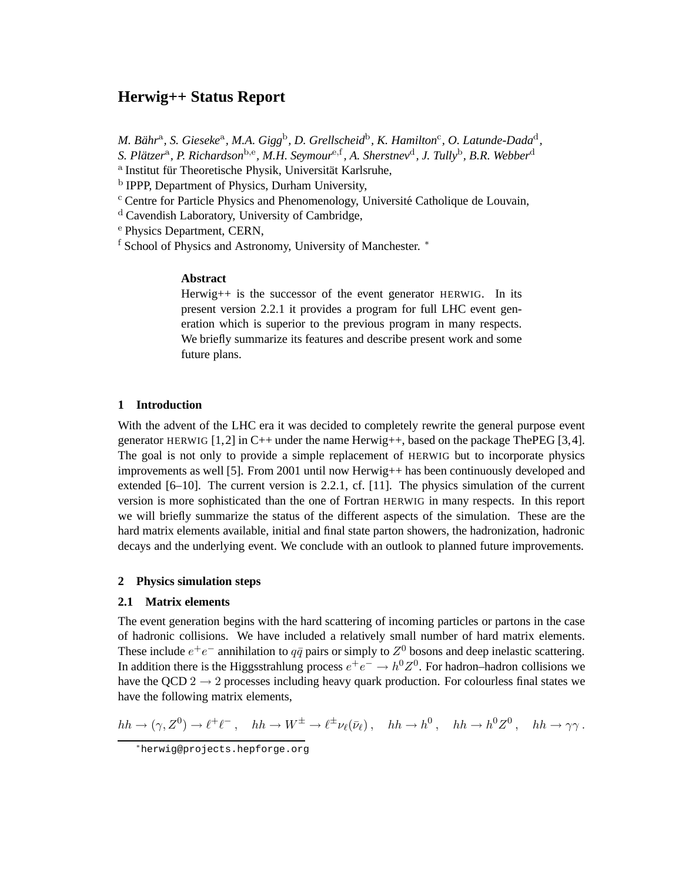# **Herwig++ Status Report**

*M. Bähr<sup>a</sup>, S. Gieseke<sup>a</sup>, M.A. Gigg<sup>b</sup>, D. Grellscheid<sup>b</sup>, K. Hamilton<sup>c</sup>, O. Latunde-Dada<sup>d</sup>,* 

*S. Platzer ¨* a *, P. Richardson*b,<sup>e</sup> *, M.H. Seymour*e,<sup>f</sup> *, A. Sherstnev*<sup>d</sup> *, J. Tully*<sup>b</sup> *, B.R. Webber*<sup>d</sup>

<sup>a</sup> Institut für Theoretische Physik, Universität Karlsruhe,

<sup>b</sup> IPPP, Department of Physics, Durham University,

<sup>c</sup> Centre for Particle Physics and Phenomenology, Université Catholique de Louvain,

<sup>d</sup> Cavendish Laboratory, University of Cambridge,

<sup>e</sup> Physics Department, CERN,

f School of Physics and Astronomy, University of Manchester. <sup>\*</sup>

## **Abstract**

Herwig++ is the successor of the event generator HERWIG. In its present version 2.2.1 it provides a program for full LHC event generation which is superior to the previous program in many respects. We briefly summarize its features and describe present work and some future plans.

# **1 Introduction**

With the advent of the LHC era it was decided to completely rewrite the general purpose event generator HERWIG  $[1,2]$  in C++ under the name Herwig++, based on the package The PEG  $[3,4]$ . The goal is not only to provide a simple replacement of HERWIG but to incorporate physics improvements as well [5]. From 2001 until now Herwig++ has been continuously developed and extended [6–10]. The current version is 2.2.1, cf. [11]. The physics simulation of the current version is more sophisticated than the one of Fortran HERWIG in many respects. In this report we will briefly summarize the status of the different aspects of the simulation. These are the hard matrix elements available, initial and final state parton showers, the hadronization, hadronic decays and the underlying event. We conclude with an outlook to planned future improvements.

### **2 Physics simulation steps**

# **2.1 Matrix elements**

The event generation begins with the hard scattering of incoming particles or partons in the case of hadronic collisions. We have included a relatively small number of hard matrix elements. These include  $e^+e^-$  annihilation to  $q\bar{q}$  pairs or simply to  $Z^0$  bosons and deep inelastic scattering. In addition there is the Higgsstrahlung process  $e^+e^- \rightarrow h^0 Z^0$ . For hadron–hadron collisions we have the QCD  $2 \rightarrow 2$  processes including heavy quark production. For colourless final states we have the following matrix elements,

$$
hh \to (\gamma, Z^0) \to \ell^+ \ell^- \,, \quad hh \to W^{\pm} \to \ell^{\pm} \nu_{\ell}(\bar{\nu}_{\ell}) \,, \quad hh \to h^0 \,, \quad hh \to h^0 Z^0 \,, \quad hh \to \gamma \gamma \,.
$$

<sup>∗</sup>herwig@projects.hepforge.org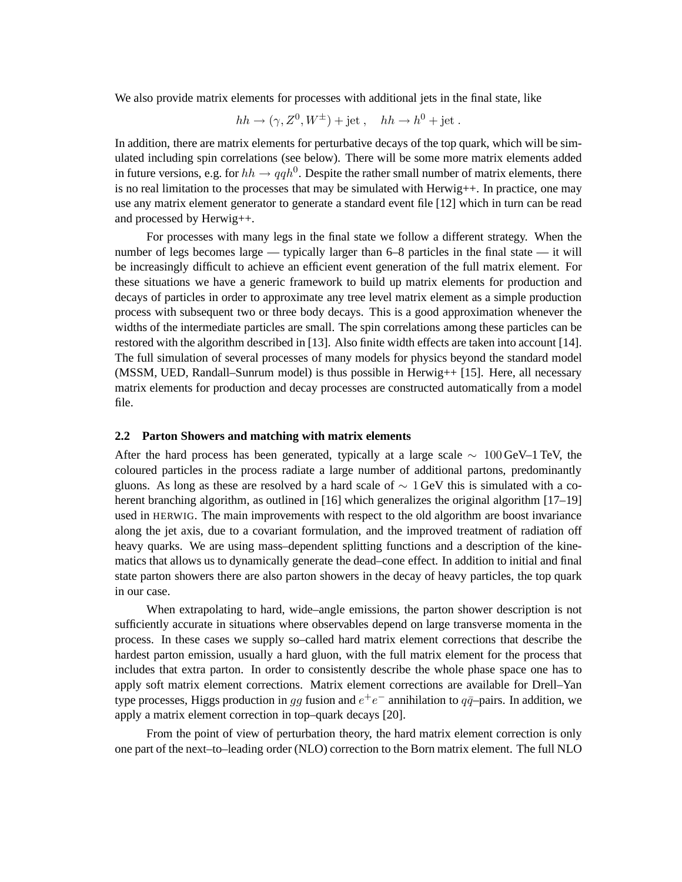We also provide matrix elements for processes with additional jets in the final state, like

$$
hh \rightarrow (\gamma, Z^0, W^{\pm}) + \text{jet}, \quad hh \rightarrow h^0 + \text{jet}.
$$

In addition, there are matrix elements for perturbative decays of the top quark, which will be simulated including spin correlations (see below). There will be some more matrix elements added in future versions, e.g. for  $hh \rightarrow qqh^0$ . Despite the rather small number of matrix elements, there is no real limitation to the processes that may be simulated with Herwig++. In practice, one may use any matrix element generator to generate a standard event file [12] which in turn can be read and processed by Herwig++.

For processes with many legs in the final state we follow a different strategy. When the number of legs becomes large — typically larger than 6–8 particles in the final state — it will be increasingly difficult to achieve an efficient event generation of the full matrix element. For these situations we have a generic framework to build up matrix elements for production and decays of particles in order to approximate any tree level matrix element as a simple production process with subsequent two or three body decays. This is a good approximation whenever the widths of the intermediate particles are small. The spin correlations among these particles can be restored with the algorithm described in [13]. Also finite width effects are taken into account [14]. The full simulation of several processes of many models for physics beyond the standard model (MSSM, UED, Randall–Sunrum model) is thus possible in Herwig++ [15]. Here, all necessary matrix elements for production and decay processes are constructed automatically from a model file.

#### **2.2 Parton Showers and matching with matrix elements**

After the hard process has been generated, typically at a large scale  $\sim 100 \,\text{GeV}$ –1 TeV, the coloured particles in the process radiate a large number of additional partons, predominantly gluons. As long as these are resolved by a hard scale of  $\sim 1$  GeV this is simulated with a coherent branching algorithm, as outlined in [16] which generalizes the original algorithm [17–19] used in HERWIG. The main improvements with respect to the old algorithm are boost invariance along the jet axis, due to a covariant formulation, and the improved treatment of radiation off heavy quarks. We are using mass–dependent splitting functions and a description of the kinematics that allows us to dynamically generate the dead–cone effect. In addition to initial and final state parton showers there are also parton showers in the decay of heavy particles, the top quark in our case.

When extrapolating to hard, wide–angle emissions, the parton shower description is not sufficiently accurate in situations where observables depend on large transverse momenta in the process. In these cases we supply so–called hard matrix element corrections that describe the hardest parton emission, usually a hard gluon, with the full matrix element for the process that includes that extra parton. In order to consistently describe the whole phase space one has to apply soft matrix element corrections. Matrix element corrections are available for Drell–Yan type processes, Higgs production in gg fusion and  $e^+e^-$  annihilation to  $q\bar{q}$ -pairs. In addition, we apply a matrix element correction in top–quark decays [20].

From the point of view of perturbation theory, the hard matrix element correction is only one part of the next–to–leading order (NLO) correction to the Born matrix element. The full NLO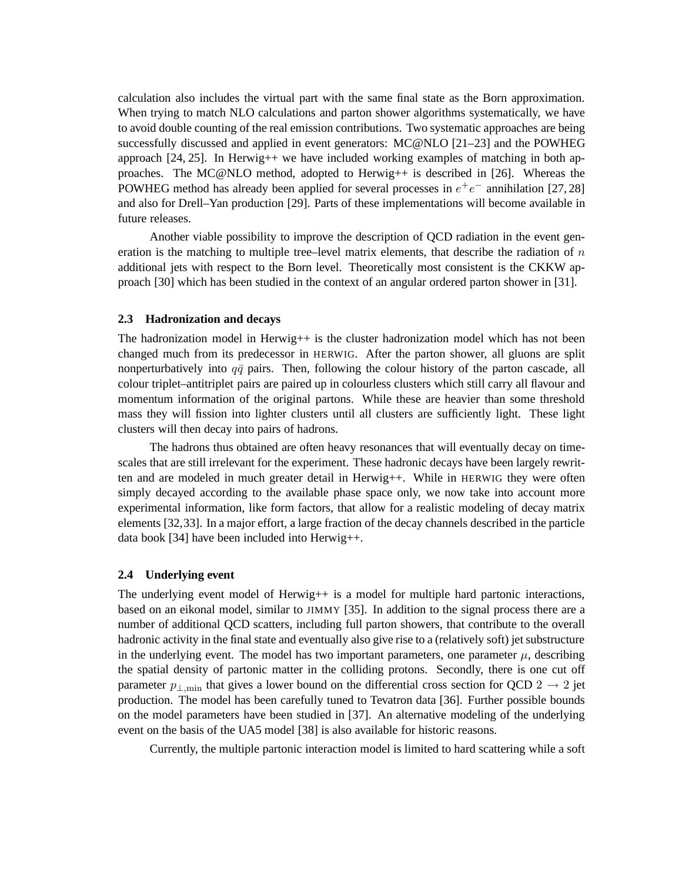calculation also includes the virtual part with the same final state as the Born approximation. When trying to match NLO calculations and parton shower algorithms systematically, we have to avoid double counting of the real emission contributions. Two systematic approaches are being successfully discussed and applied in event generators: MC@NLO [21–23] and the POWHEG approach  $[24, 25]$ . In Herwig++ we have included working examples of matching in both approaches. The MC@NLO method, adopted to Herwig++ is described in [26]. Whereas the POWHEG method has already been applied for several processes in  $e^+e^-$  annihilation [27, 28] and also for Drell–Yan production [29]. Parts of these implementations will become available in future releases.

Another viable possibility to improve the description of QCD radiation in the event generation is the matching to multiple tree–level matrix elements, that describe the radiation of  $n$ additional jets with respect to the Born level. Theoretically most consistent is the CKKW approach [30] which has been studied in the context of an angular ordered parton shower in [31].

#### **2.3 Hadronization and decays**

The hadronization model in Herwig $++$  is the cluster hadronization model which has not been changed much from its predecessor in HERWIG. After the parton shower, all gluons are split nonperturbatively into  $q\bar{q}$  pairs. Then, following the colour history of the parton cascade, all colour triplet–antitriplet pairs are paired up in colourless clusters which still carry all flavour and momentum information of the original partons. While these are heavier than some threshold mass they will fission into lighter clusters until all clusters are sufficiently light. These light clusters will then decay into pairs of hadrons.

The hadrons thus obtained are often heavy resonances that will eventually decay on timescales that are still irrelevant for the experiment. These hadronic decays have been largely rewritten and are modeled in much greater detail in Herwig++. While in HERWIG they were often simply decayed according to the available phase space only, we now take into account more experimental information, like form factors, that allow for a realistic modeling of decay matrix elements [32,33]. In a major effort, a large fraction of the decay channels described in the particle data book [34] have been included into Herwig++.

#### **2.4 Underlying event**

The underlying event model of Herwig $++$  is a model for multiple hard partonic interactions, based on an eikonal model, similar to JIMMY [35]. In addition to the signal process there are a number of additional QCD scatters, including full parton showers, that contribute to the overall hadronic activity in the final state and eventually also give rise to a (relatively soft) jet substructure in the underlying event. The model has two important parameters, one parameter  $\mu$ , describing the spatial density of partonic matter in the colliding protons. Secondly, there is one cut off parameter  $p_{\perp,\text{min}}$  that gives a lower bound on the differential cross section for QCD 2  $\rightarrow$  2 jet production. The model has been carefully tuned to Tevatron data [36]. Further possible bounds on the model parameters have been studied in [37]. An alternative modeling of the underlying event on the basis of the UA5 model [38] is also available for historic reasons.

Currently, the multiple partonic interaction model is limited to hard scattering while a soft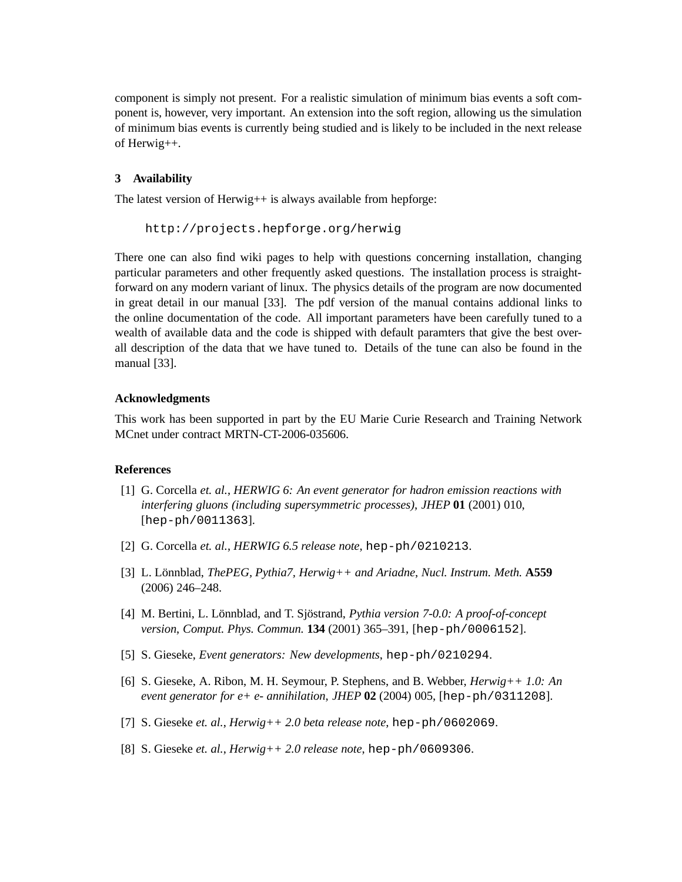component is simply not present. For a realistic simulation of minimum bias events a soft component is, however, very important. An extension into the soft region, allowing us the simulation of minimum bias events is currently being studied and is likely to be included in the next release of Herwig++.

## **3 Availability**

The latest version of Herwig++ is always available from hepforge:

```
http://projects.hepforge.org/herwig
```
There one can also find wiki pages to help with questions concerning installation, changing particular parameters and other frequently asked questions. The installation process is straightforward on any modern variant of linux. The physics details of the program are now documented in great detail in our manual [33]. The pdf version of the manual contains addional links to the online documentation of the code. All important parameters have been carefully tuned to a wealth of available data and the code is shipped with default paramters that give the best overall description of the data that we have tuned to. Details of the tune can also be found in the manual [33].

#### **Acknowledgments**

This work has been supported in part by the EU Marie Curie Research and Training Network MCnet under contract MRTN-CT-2006-035606.

#### **References**

- [1] G. Corcella *et. al.*, *HERWIG 6: An event generator for hadron emission reactions with interfering gluons (including supersymmetric processes)*, *JHEP* **01** (2001) 010, [hep-ph/0011363].
- [2] G. Corcella *et. al.*, *HERWIG 6.5 release note*, hep-ph/0210213.
- [3] L. L¨onnblad, *ThePEG, Pythia7, Herwig++ and Ariadne*, *Nucl. Instrum. Meth.* **A559** (2006) 246–248.
- [4] M. Bertini, L. Lönnblad, and T. Sjöstrand, *Pythia version 7-0.0: A proof-of-concept version*, *Comput. Phys. Commun.* **134** (2001) 365–391, [hep-ph/0006152].
- [5] S. Gieseke, *Event generators: New developments*, hep-ph/0210294.
- [6] S. Gieseke, A. Ribon, M. H. Seymour, P. Stephens, and B. Webber, *Herwig++ 1.0: An event generator for e+ e- annihilation*, *JHEP* **02** (2004) 005, [hep-ph/0311208].
- [7] S. Gieseke *et. al.*, *Herwig++ 2.0 beta release note*, hep-ph/0602069.
- [8] S. Gieseke *et. al.*, *Herwig++ 2.0 release note*, hep-ph/0609306.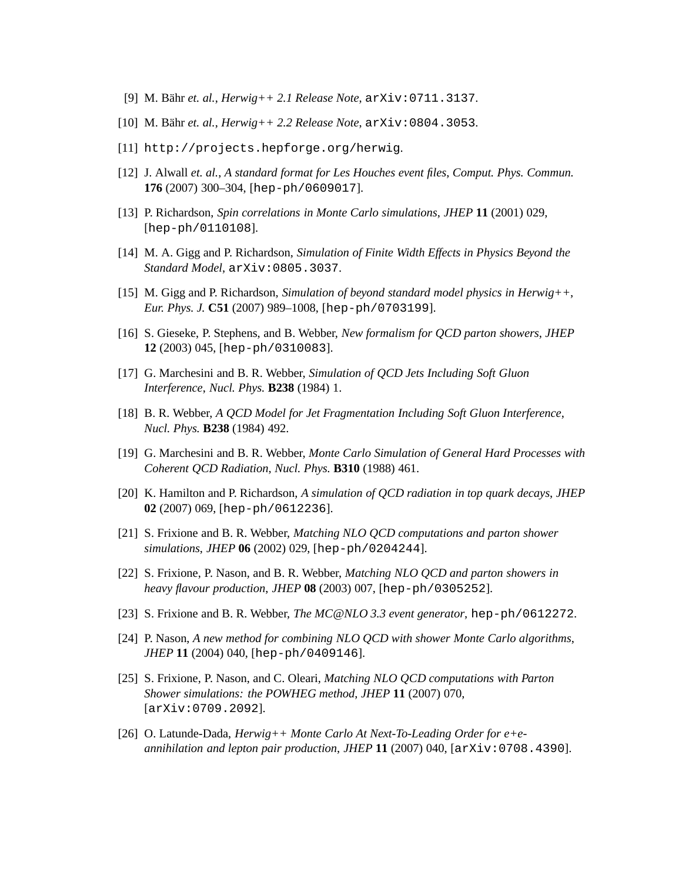- [9] M. B¨ahr *et. al.*, *Herwig++ 2.1 Release Note*, arXiv:0711.3137.
- [10] M. B¨ahr *et. al.*, *Herwig++ 2.2 Release Note*, arXiv:0804.3053.
- [11] http://projects.hepforge.org/herwig.
- [12] J. Alwall *et. al.*, *A standard format for Les Houches event files*, *Comput. Phys. Commun.* **176** (2007) 300–304, [hep-ph/0609017].
- [13] P. Richardson, *Spin correlations in Monte Carlo simulations*, *JHEP* **11** (2001) 029, [hep-ph/0110108].
- [14] M. A. Gigg and P. Richardson, *Simulation of Finite Width Effects in Physics Beyond the Standard Model*, arXiv:0805.3037.
- [15] M. Gigg and P. Richardson, *Simulation of beyond standard model physics in Herwig++*, *Eur. Phys. J.* **C51** (2007) 989–1008, [hep-ph/0703199].
- [16] S. Gieseke, P. Stephens, and B. Webber, *New formalism for QCD parton showers*, *JHEP* **12** (2003) 045, [hep-ph/0310083].
- [17] G. Marchesini and B. R. Webber, *Simulation of QCD Jets Including Soft Gluon Interference*, *Nucl. Phys.* **B238** (1984) 1.
- [18] B. R. Webber, *A QCD Model for Jet Fragmentation Including Soft Gluon Interference*, *Nucl. Phys.* **B238** (1984) 492.
- [19] G. Marchesini and B. R. Webber, *Monte Carlo Simulation of General Hard Processes with Coherent QCD Radiation*, *Nucl. Phys.* **B310** (1988) 461.
- [20] K. Hamilton and P. Richardson, *A simulation of QCD radiation in top quark decays*, *JHEP* **02** (2007) 069, [hep-ph/0612236].
- [21] S. Frixione and B. R. Webber, *Matching NLO QCD computations and parton shower simulations*, *JHEP* **06** (2002) 029, [hep-ph/0204244].
- [22] S. Frixione, P. Nason, and B. R. Webber, *Matching NLO QCD and parton showers in heavy flavour production*, *JHEP* **08** (2003) 007, [hep-ph/0305252].
- [23] S. Frixione and B. R. Webber, *The MC@NLO 3.3 event generator*, hep-ph/0612272.
- [24] P. Nason, *A new method for combining NLO QCD with shower Monte Carlo algorithms*, *JHEP* **11** (2004) 040, [hep-ph/0409146].
- [25] S. Frixione, P. Nason, and C. Oleari, *Matching NLO QCD computations with Parton Shower simulations: the POWHEG method*, *JHEP* **11** (2007) 070, [arXiv:0709.2092].
- [26] O. Latunde-Dada, *Herwig++ Monte Carlo At Next-To-Leading Order for e+eannihilation and lepton pair production*, *JHEP* **11** (2007) 040, [arXiv:0708.4390].